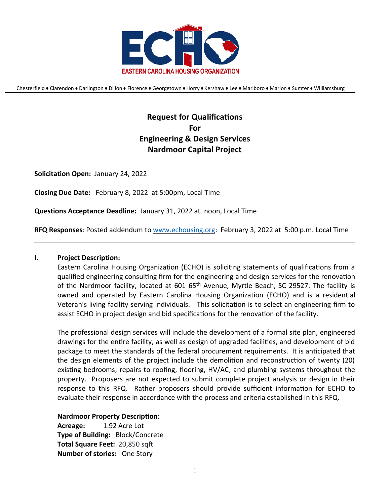

Chesterfield ● Clarendon ● Darlington ● Dillon ● Florence ● Georgetown ● Horry ● Kershaw ● Lee ● Marlboro ● Marion ● Sumter ● Williamsburg

# **Request for Qualifications For Engineering & Design Services Nardmoor Capital Project**

**Solicitation Open:** January 24, 2022

**Closing Due Date:** February 8, 2022 at 5:00pm, Local Time

**Questions Acceptance Deadline:** January 31, 2022 at noon, Local Time

**RFQ Responses**: Posted addendum to [www.echousing.org:](http://www.echousing.org/) February 3, 2022 at 5:00 p.m. Local Time

#### **I. Project Description:**

Eastern Carolina Housing Organization (ECHO) is soliciting statements of qualifications from a qualified engineering consulting firm for the engineering and design services for the renovation of the Nardmoor facility, located at 601 65<sup>th</sup> Avenue, Myrtle Beach, SC 29527. The facility is owned and operated by Eastern Carolina Housing Organization (ECHO) and is a residential Veteran's living facility serving individuals. This solicitation is to select an engineering firm to assist ECHO in project design and bid specifications for the renovation of the facility.

The professional design services will include the development of a formal site plan, engineered drawings for the entire facility, as well as design of upgraded facilities, and development of bid package to meet the standards of the federal procurement requirements. It is anticipated that the design elements of the project include the demolition and reconstruction of twenty (20) existing bedrooms; repairs to roofing, flooring, HV/AC, and plumbing systems throughout the property. Proposers are not expected to submit complete project analysis or design in their response to this RFQ. Rather proposers should provide sufficient information for ECHO to evaluate their response in accordance with the process and criteria established in this RFQ.

#### **Nardmoor Property Description:**

Acreage: 1.92 Acre Lot **Type of Building:** Block/Concrete **Total Square Feet:** 20,850 sqft **Number of stories:** One Story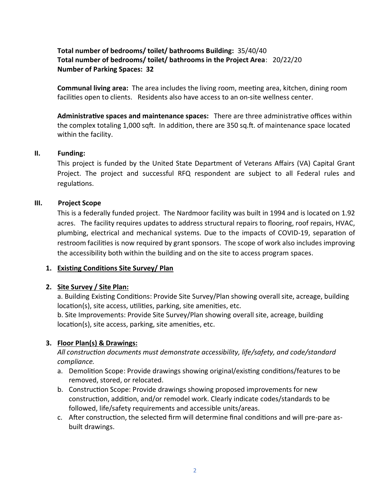### **Total number of bedrooms/ toilet/ bathrooms Building:** 35/40/40 **Total number of bedrooms/ toilet/ bathrooms in the Project Area**: 20/22/20 **Number of Parking Spaces: 32**

**Communal living area:** The area includes the living room, meeting area, kitchen, dining room facilities open to clients. Residents also have access to an on-site wellness center.

**Administrative spaces and maintenance spaces:** There are three administrative offices within the complex totaling 1,000 sqft. In addition, there are 350 sq.ft. of maintenance space located within the facility.

#### **II. Funding:**

This project is funded by the United State Department of Veterans Affairs (VA) Capital Grant Project. The project and successful RFQ respondent are subject to all Federal rules and regulations.

#### **III. Project Scope**

This is a federally funded project. The Nardmoor facility was built in 1994 and is located on 1.92 acres. The facility requires updates to address structural repairs to flooring, roof repairs, HVAC, plumbing, electrical and mechanical systems. Due to the impacts of COVID-19, separation of restroom facilities is now required by grant sponsors. The scope of work also includes improving the accessibility both within the building and on the site to access program spaces.

### **1. Existing Conditions Site Survey/ Plan**

### **2. Site Survey / Site Plan:**

a. Building Existing Conditions: Provide Site Survey/Plan showing overall site, acreage, building location(s), site access, utilities, parking, site amenities, etc.

b. Site Improvements: Provide Site Survey/Plan showing overall site, acreage, building location(s), site access, parking, site amenities, etc.

### **3. Floor Plan(s) & Drawings:**

*All construction documents must demonstrate accessibility, life/safety, and code/standard compliance.*

- a. Demolition Scope: Provide drawings showing original/existing conditions/features to be removed, stored, or relocated.
- b. Construction Scope: Provide drawings showing proposed improvements for new construction, addition, and/or remodel work. Clearly indicate codes/standards to be followed, life/safety requirements and accessible units/areas.
- c. After construction, the selected firm will determine final conditions and will pre-pare asbuilt drawings.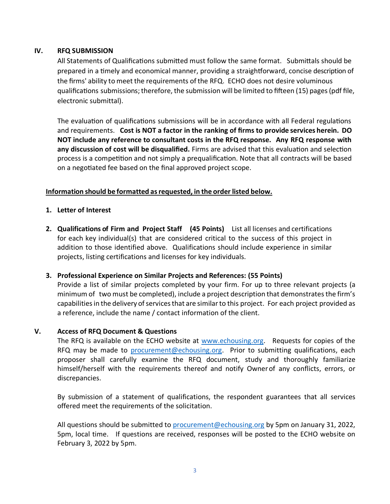#### **IV. RFQ SUBMISSION**

All Statements of Qualifications submitted must follow the same format. Submittals should be prepared in a timely and economical manner, providing a straightforward, concise description of the firms' ability to meet the requirements of the RFQ. ECHO does not desire voluminous qualifications submissions; therefore, the submission will be limited to fifteen (15) pages (pdf file, electronic submittal).

The evaluation of qualifications submissions will be in accordance with all Federal regulations and requirements. **Cost is NOT a factor in the ranking of firms to provide services herein. DO NOT include any reference to consultant costs in the RFQ response. Any RFQ response with any discussion of cost will be disqualified.** Firms are advised that this evaluation and selection process is a competition and not simply a prequalification. Note that all contracts will be based on a negotiated fee based on the final approved project scope.

#### **Information should be formatted asrequested, in the order listed below.**

- **1. Letter of Interest**
- **2. Qualifications of Firm and Project Staff (45 Points)** List all licenses and certifications for each key individual(s) that are considered critical to the success of this project in addition to those identified above. Qualifications should include experience in similar projects, listing certifications and licenses for key individuals.

### **3. Professional Experience on Similar Projects and References: (55 Points)**

Provide a list of similar projects completed by your firm. For up to three relevant projects (a minimum of two must be completed), include a project description that demonstrates the firm's capabilities in the delivery of services that are similar to this project. For each project provided as a reference, include the name / contact information of the client.

#### **V. Access of RFQ Document & Questions**

The RFQ is available on the ECHO website at [www.echousing.org.](http://www.echousing.org/) Requests for copies of the RFQ may be made to [procurement@echousing.org.](mailto:procurement@echousing.org) Prior to submitting qualifications, each proposer shall carefully examine the RFQ document, study and thoroughly familiarize himself/herself with the requirements thereof and notify Ownerof any conflicts, errors, or discrepancies.

By submission of a statement of qualifications, the respondent guarantees that all services offered meet the requirements of the solicitation.

All questions should be submitted to [procurement@echousing.org](mailto:procurement@echousing.org) by 5pm on January 31, 2022, 5pm, local time. If questions are received, responses will be posted to the ECHO website on February 3, 2022 by 5pm.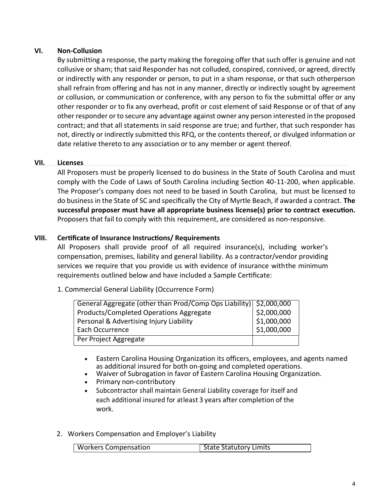### **VI. Non-Collusion**

By submitting a response, the party making the foregoing offer that such offer is genuine and not collusive or sham; that said Responder has not colluded, conspired, connived, or agreed, directly or indirectly with any responder or person, to put in a sham response, or that such otherperson shall refrain from offering and has not in any manner, directly or indirectly sought by agreement or collusion, or communication or conference, with any person to fix the submittal offer or any other responder or to fix any overhead, profit or cost element of said Response or of that of any other responder or to secure any advantage against owner any person interested in the proposed contract; and that all statements in said response are true; and further, that such responder has not, directly or indirectly submitted this RFQ, or the contents thereof, or divulged information or date relative thereto to any association or to any member or agent thereof.

### **VII. Licenses**

All Proposers must be properly licensed to do business in the State of South Carolina and must comply with the Code of Laws of South Carolina including Section 40-11-200, when applicable. The Proposer's company does not need to be based in South Carolina, but must be licensed to do business in the State of SC and specifically the City of Myrtle Beach, if awarded a contract. **The successful proposer must have all appropriate business license(s) prior to contract execution.**  Proposers that fail to comply with this requirement, are considered as non-responsive.

### **VIII. Certificate of Insurance Instructions/ Requirements**

All Proposers shall provide proof of all required insurance(s), including worker's compensation, premises, liability and general liability. As a contractor/vendor providing services we require that you provide us with evidence of insurance withthe minimum requirements outlined below and have included a Sample Certificate:

#### 1. Commercial General Liability (Occurrence Form)

| General Aggregate (other than Prod/Comp Ops Liability) \$2,000,000 |             |
|--------------------------------------------------------------------|-------------|
| Products/Completed Operations Aggregate                            | \$2,000,000 |
| Personal & Advertising Injury Liability                            | \$1,000,000 |
| Each Occurrence                                                    | \$1,000,000 |
| Per Project Aggregate                                              |             |

- Eastern Carolina Housing Organization its officers, employees, and agents named as additional insured for both on-going and completed operations.
- Waiver of Subrogation in favor of Eastern Carolina Housing Organization.
- Primary non-contributory
- Subcontractor shall maintain General Liability coverage for itself and each additional insured for atleast 3 years after completion of the work.
- 2. Workers Compensation and Employer's Liability

| <b>Workers Compensation</b><br>State Statutory Limits |
|-------------------------------------------------------|
|-------------------------------------------------------|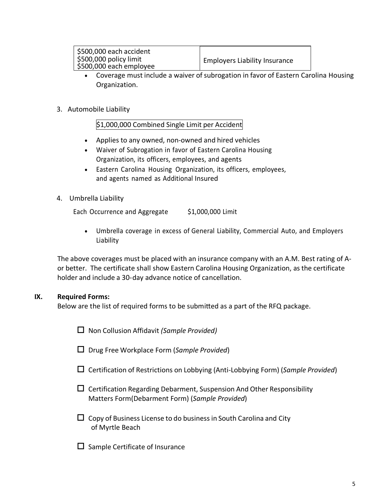| \$500,000 each accident                           |                                            |
|---------------------------------------------------|--------------------------------------------|
| \$500,000 policy limit<br>\$500,000 each employee | <sup>1</sup> Employers Liability Insurance |

- Coverage must include a waiver of subrogation in favor of Eastern Carolina Housing Organization.
- 3. Automobile Liability

\$1,000,000 Combined Single Limit per Accident

- Applies to any owned, non-owned and hired vehicles
- Waiver of Subrogation in favor of Eastern Carolina Housing Organization, its officers, employees, and agents
- Eastern Carolina Housing Organization, its officers, employees, and agents named as Additional Insured
- 4. Umbrella Liability

Each Occurrence and Aggregate \$1,000,000 Limit

• Umbrella coverage in excess of General Liability, Commercial Auto, and Employers Liability

The above coverages must be placed with an insurance company with an A.M. Best rating of Aor better. The certificate shall show Eastern Carolina Housing Organization, as the certificate holder and include a 30-day advance notice of cancellation.

### **IX. Required Forms:**

Below are the list of required forms to be submitted as a part of the RFQ package.

Non Collusion Affidavit *(Sample Provided)*

- Drug Free Workplace Form (*Sample Provided*)
- Certification of Restrictions on Lobbying (Anti-Lobbying Form) (*Sample Provided*)
- $\Box$  Certification Regarding Debarment, Suspension And Other Responsibility Matters Form(Debarment Form) (*Sample Provided*)
- $\Box$  Copy of Business License to do business in South Carolina and City of Myrtle Beach
- $\square$  Sample Certificate of Insurance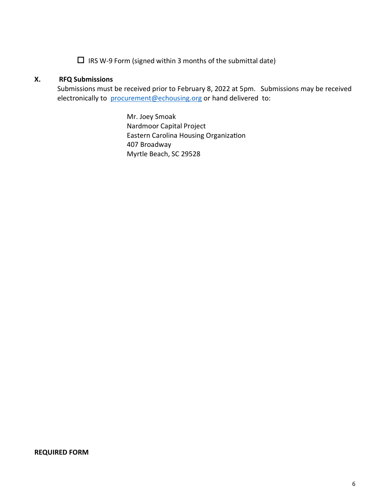$\Box$  IRS W-9 Form (signed within 3 months of the submittal date)

#### **X. RFQ Submissions**

Submissions must be received prior to February 8, 2022 at 5pm. Submissions may be received electronically to[procurement@echousing.org](mailto:procurement@echousing.org) or hand delivered to:

> Mr. Joey Smoak Nardmoor Capital Project Eastern Carolina Housing Organization 407 Broadway Myrtle Beach, SC 29528

#### **REQUIRED FORM**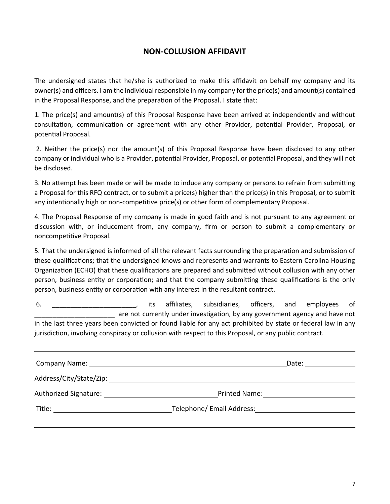# **NON-COLLUSION AFFIDAVIT**

The undersigned states that he/she is authorized to make this affidavit on behalf my company and its owner(s) and officers. I am the individual responsible in my company for the price(s) and amount(s) contained in the Proposal Response, and the preparation of the Proposal. I state that:

1. The price(s) and amount(s) of this Proposal Response have been arrived at independently and without consultation, communication or agreement with any other Provider, potential Provider, Proposal, or potential Proposal.

2. Neither the price(s) nor the amount(s) of this Proposal Response have been disclosed to any other company or individual who is a Provider, potential Provider, Proposal, or potential Proposal, and they will not be disclosed.

3. No attempt has been made or will be made to induce any company or persons to refrain from submitting a Proposal for this RFQ contract, or to submit a price(s) higher than the price(s) in this Proposal, or to submit any intentionally high or non-competitive price(s) or other form of complementary Proposal.

4. The Proposal Response of my company is made in good faith and is not pursuant to any agreement or discussion with, or inducement from, any company, firm or person to submit a complementary or noncompetitive Proposal.

5. That the undersigned is informed of all the relevant facts surrounding the preparation and submission of these qualifications; that the undersigned knows and represents and warrants to Eastern Carolina Housing Organization (ECHO) that these qualifications are prepared and submitted without collusion with any other person, business entity or corporation; and that the company submitting these qualifications is the only person, business entity or corporation with any interest in the resultant contract.

6. \_\_\_\_\_\_\_\_\_\_\_\_\_\_\_\_\_\_\_\_\_\_\_, its affiliates, subsidiaries, officers, and employees of \_\_\_\_\_\_\_\_\_\_\_\_\_\_\_\_\_\_\_\_\_\_ are not currently under investigation, by any government agency and have not in the last three years been convicted or found liable for any act prohibited by state or federal law in any jurisdiction, involving conspiracy or collusion with respect to this Proposal, or any public contract.

| Company Name: Name and South Allen Company Name: Name and South Allen Company Name and South Allen Company of the Company of the Company of the Company of the Company of the Company of the Company of the Company of the Com |                           | Date: |
|--------------------------------------------------------------------------------------------------------------------------------------------------------------------------------------------------------------------------------|---------------------------|-------|
| Address/City/State/Zip: Address And Address And Address And Address And Address A                                                                                                                                              |                           |       |
| Authorized Signature: Authorized Signature:                                                                                                                                                                                    | Printed Name:             |       |
| Title:                                                                                                                                                                                                                         | Telephone/ Email Address: |       |
|                                                                                                                                                                                                                                |                           |       |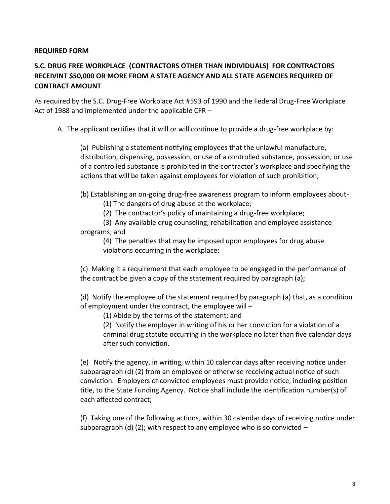#### **REQUIRED FORM**

# **S.C. DRUG FREE WORKPLACE (CONTRACTORS OTHER THAN INDIVIDUALS) FOR CONTRACTORS RECEIVINT \$50,000 OR MORE FROM A STATE AGENCY AND ALL STATE AGENCIES REQUIRED OF CONTRACT AMOUNT**

As required by the S.C. Drug-Free Workplace Act #593 of 1990 and the Federal Drug-Free Workplace Act of 1988 and implemented under the applicable CFR –

A. The applicant certifies that it will or will continue to provide a drug-free workplace by:

(a) Publishing a statement notifying employees that the unlawful manufacture, distribution, dispensing, possession, or use of a controlled substance, possession, or use of a controlled substance is prohibited in the contractor's workplace and specifying the actions that will be taken against employees for violation of such prohibition;

(b) Establishing an on-going drug-free awareness program to inform employees about-

- (1) The dangers of drug abuse at the workplace;
- (2) The contractor's policy of maintaining a drug-free workplace;

(3) Any available drug counseling, rehabilitation and employee assistance programs; and

(4) The penalties that may be imposed upon employees for drug abuse violations occurring in the workplace;

(c) Making it a requirement that each employee to be engaged in the performance of the contract be given a copy of the statement required by paragraph (a);

(d) Notify the employee of the statement required by paragraph (a) that, as a condition of employment under the contract, the employee will –

(1) Abide by the terms of the statement; and

(2) Notify the employer in writing of his or her conviction for a violation of a criminal drug statute occurring in the workplace no later than five calendar days after such conviction.

(e) Notify the agency, in writing, within 10 calendar days after receiving notice under subparagraph (d) (2) from an employee or otherwise receiving actual notice of such conviction. Employers of convicted employees must provide notice, including position title, to the State Funding Agency. Notice shall include the identification number(s) of each affected contract;

(f) Taking one of the following actions, within 30 calendar days of receiving notice under subparagraph (d) (2); with respect to any employee who is so convicted  $-$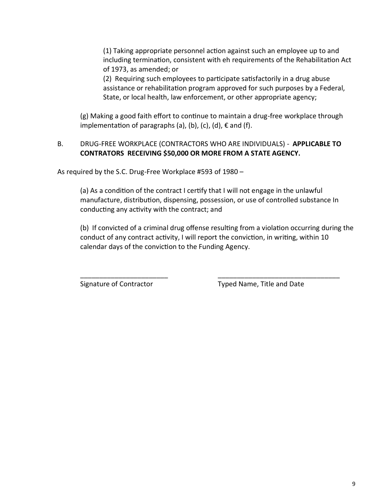(1) Taking appropriate personnel action against such an employee up to and including termination, consistent with eh requirements of the Rehabilitation Act of 1973, as amended; or

(2) Requiring such employees to participate satisfactorily in a drug abuse assistance or rehabilitation program approved for such purposes by a Federal, State, or local health, law enforcement, or other appropriate agency;

(g) Making a good faith effort to continue to maintain a drug-free workplace through implementation of paragraphs (a), (b), (c), (d),  $\epsilon$  and (f).

### B. DRUG-FREE WORKPLACE (CONTRACTORS WHO ARE INDIVIDUALS) - **APPLICABLE TO CONTRATORS RECEIVING \$50,000 OR MORE FROM A STATE AGENCY.**

As required by the S.C. Drug-Free Workplace #593 of 1980 –

(a) As a condition of the contract I certify that I will not engage in the unlawful manufacture, distribution, dispensing, possession, or use of controlled substance In conducting any activity with the contract; and

\_\_\_\_\_\_\_\_\_\_\_\_\_\_\_\_\_\_\_\_\_\_\_ \_\_\_\_\_\_\_\_\_\_\_\_\_\_\_\_\_\_\_\_\_\_\_\_\_\_\_\_\_\_\_\_

(b) If convicted of a criminal drug offense resulting from a violation occurring during the conduct of any contract activity, I will report the conviction, in writing, within 10 calendar days of the conviction to the Funding Agency.

Signature of Contractor Typed Name, Title and Date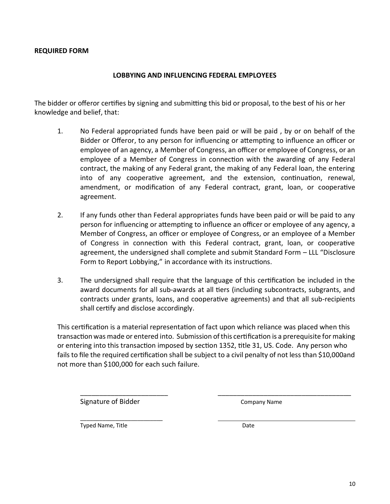#### **REQUIRED FORM**

#### **LOBBYING AND INFLUENCING FEDERAL EMPLOYEES**

The bidder or offeror certifies by signing and submitting this bid or proposal, to the best of his or her knowledge and belief, that:

- 1. No Federal appropriated funds have been paid or will be paid , by or on behalf of the Bidder or Offeror, to any person for influencing or attempting to influence an officer or employee of an agency, a Member of Congress, an officer or employee of Congress, or an employee of a Member of Congress in connection with the awarding of any Federal contract, the making of any Federal grant, the making of any Federal loan, the entering into of any cooperative agreement, and the extension, continuation, renewal, amendment, or modification of any Federal contract, grant, loan, or cooperative agreement.
- 2. If any funds other than Federal appropriates funds have been paid or will be paid to any person for influencing or attempting to influence an officer or employee of any agency, a Member of Congress, an officer or employee of Congress, or an employee of a Member of Congress in connection with this Federal contract, grant, loan, or cooperative agreement, the undersigned shall complete and submit Standard Form – LLL "Disclosure Form to Report Lobbying," in accordance with its instructions.
- 3. The undersigned shall require that the language of this certification be included in the award documents for all sub-awards at all tiers (including subcontracts, subgrants, and contracts under grants, loans, and cooperative agreements) and that all sub-recipients shall certify and disclose accordingly.

This certification is a material representation of fact upon which reliance was placed when this transaction was made or entered into. Submission of this certification is a prerequisite for making or entering into this transaction imposed by section 1352, title 31, US. Code. Any person who fails to file the required certification shall be subject to a civil penalty of not less than \$10,000and not more than \$100,000 for each such failure.

\_\_\_\_\_\_\_\_\_\_\_\_\_\_\_\_\_\_\_\_\_\_\_ \_\_\_\_\_\_\_\_\_\_\_\_\_\_\_\_\_\_\_\_\_\_\_\_\_\_\_\_\_\_\_\_\_\_\_

Signature of Bidder Company Name

\_\_\_\_\_\_\_\_\_\_\_\_\_\_\_\_\_\_\_\_\_\_\_\_\_\_ Typed Name, Title **Date** Date Date